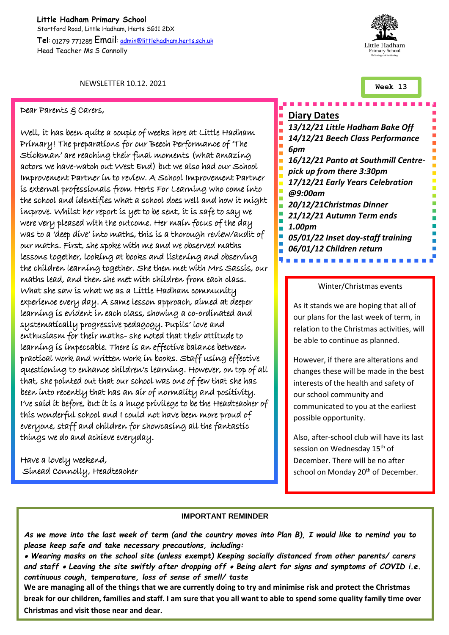**Little Hadham Primary School** Stortford Road, Little Hadham, Herts SG11 2DX **Tel**: 01279 771285 Email[: admin@littlehadham.herts.sch.uk](mailto:admin@littlehadham.herts.sch.uk) Head Teacher Ms S Connolly

Little Hadham rimary Schoo

NEWSLETTER 10.12. 2021

#### Dear Parents & Carers,

Well, it has been quite a couple of weeks here at Little Hadham Primary! The preparations for our Beech Performance of 'The Stickman' are reaching their final moments (what amazing actors we have-watch out West End) but we also had our School Improvement Partner in to review. A School Improvement Partner is external professionals from Herts For Learning who come into the school and identifies what a school does well and how it might improve. Whilst her report is yet to be sent, it is safe to say we were very pleased with the outcome. Her main focus of the day was to a 'deep dive' into maths, this is a thorough review/audit of our maths. First, she spoke with me and we observed maths lessons together, looking at books and listening and observing the children learning together. She then met with Mrs Sassis, our maths lead, and then she met with children from each class. What she saw is what we as a Little Hadham community experience every day. A same lesson approach, aimed at deeper learning is evident in each class, showing a co-ordinated and systematically progressive pedagogy. Pupils' love and enthusiasm for their maths- she noted that their attitude to learning is impeccable. There is an effective balance between practical work and written work in books. Staff using effective questioning to enhance children's learning. However, on top of all that, she pointed out that our school was one of few that she has been into recently that has an air of normality and positivity. I've said it before, but it is a huge privilege to be the Headteacher of this wonderful school and I could not have been more proud of everyone, staff and children for showcasing all the fantastic things we do and achieve everyday.

Have a lovely weekend, Sinead Connolly, Headteacher

### **Week 13**

# **Diary Dates** *13/12/21 Little Hadham Bake Off 14/12/21 Beech Class Performance 6pm 16/12/21 Panto at Southmill Centrepick up from there 3:30pm 17/12/21 Early Years Celebration @9:00am 20/12/21Christmas Dinner 21/12/21 Autumn Term ends 1.00pm*  $\blacksquare$ *05/01/22 Inset day-staff training 06/01/12 Children return*

### Winter/Christmas events

As it stands we are hoping that all of our plans for the last week of term, in relation to the Christmas activities, will be able to continue as planned.

However, if there are alterations and changes these will be made in the best interests of the health and safety of our school community and communicated to you at the earliest possible opportunity.

Also, after-school club will have its last session on Wednesday 15<sup>th</sup> of December. There will be no after school on Monday 20<sup>th</sup> of December.

#### **IMPORTANT REMINDER**

*As we move into the last week of term (and the country moves into Plan B), I would like to remind you to please keep safe and take necessary precautions, including:* 

 *Wearing masks on the school site (unless exempt) Keeping socially distanced from other parents/ carers and staff Leaving the site swiftly after dropping off Being alert for signs and symptoms of COVID i.e. continuous cough, temperature, loss of sense of smell/ taste*

**We are managing all of the things that we are currently doing to try and minimise risk and protect the Christmas break for our children, families and staff. I am sure that you all want to able to spend some quality family time over Christmas and visit those near and dear.**